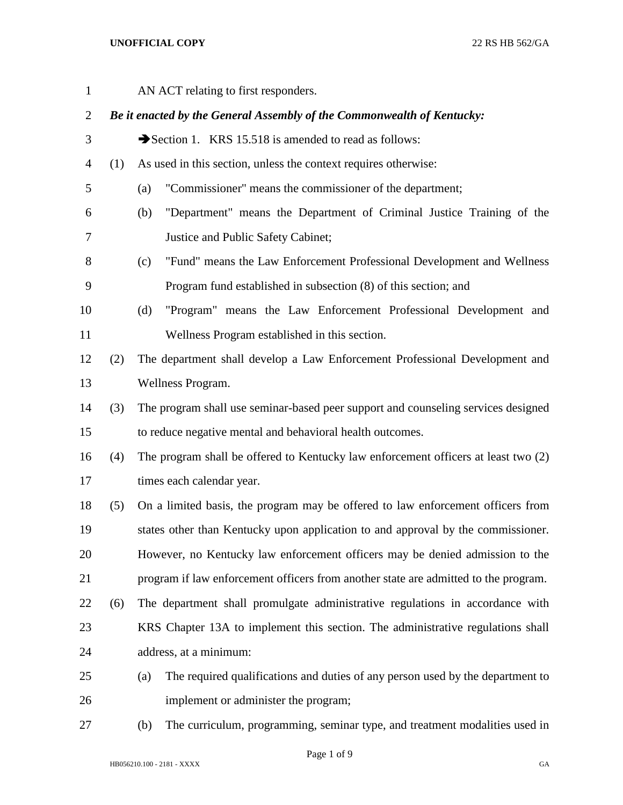AN ACT relating to first responders. *Be it enacted by the General Assembly of the Commonwealth of Kentucky:* 3 Section 1. KRS 15.518 is amended to read as follows: (1) As used in this section, unless the context requires otherwise: (a) "Commissioner" means the commissioner of the department; (b) "Department" means the Department of Criminal Justice Training of the Justice and Public Safety Cabinet; (c) "Fund" means the Law Enforcement Professional Development and Wellness Program fund established in subsection (8) of this section; and (d) "Program" means the Law Enforcement Professional Development and Wellness Program established in this section. (2) The department shall develop a Law Enforcement Professional Development and Wellness Program. (3) The program shall use seminar-based peer support and counseling services designed to reduce negative mental and behavioral health outcomes. (4) The program shall be offered to Kentucky law enforcement officers at least two (2) 17 times each calendar year. (5) On a limited basis, the program may be offered to law enforcement officers from states other than Kentucky upon application to and approval by the commissioner. However, no Kentucky law enforcement officers may be denied admission to the program if law enforcement officers from another state are admitted to the program. (6) The department shall promulgate administrative regulations in accordance with KRS Chapter 13A to implement this section. The administrative regulations shall address, at a minimum: (a) The required qualifications and duties of any person used by the department to implement or administer the program; (b) The curriculum, programming, seminar type, and treatment modalities used in

Page 1 of 9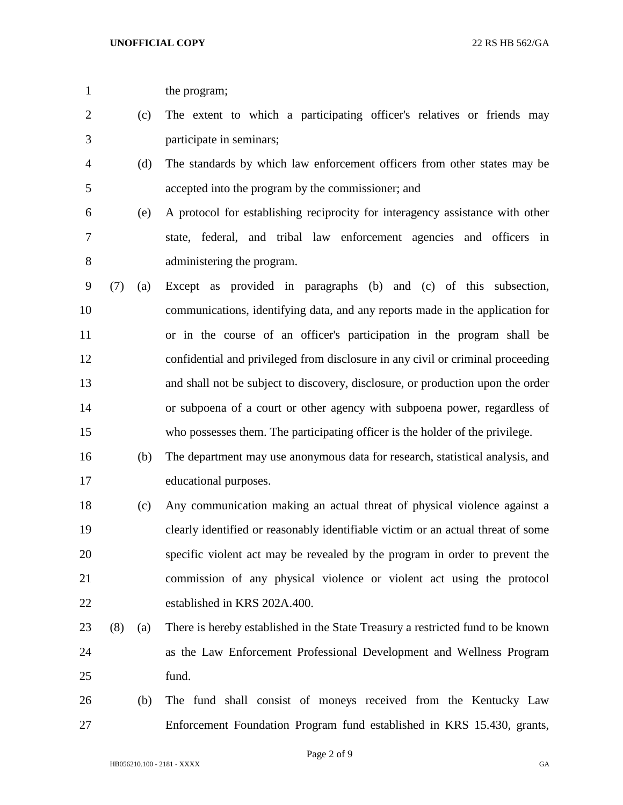the program;

- (c) The extent to which a participating officer's relatives or friends may participate in seminars;
- (d) The standards by which law enforcement officers from other states may be accepted into the program by the commissioner; and
- (e) A protocol for establishing reciprocity for interagency assistance with other state, federal, and tribal law enforcement agencies and officers in administering the program.
- (7) (a) Except as provided in paragraphs (b) and (c) of this subsection, communications, identifying data, and any reports made in the application for or in the course of an officer's participation in the program shall be confidential and privileged from disclosure in any civil or criminal proceeding and shall not be subject to discovery, disclosure, or production upon the order or subpoena of a court or other agency with subpoena power, regardless of who possesses them. The participating officer is the holder of the privilege.
- (b) The department may use anonymous data for research, statistical analysis, and educational purposes.
- (c) Any communication making an actual threat of physical violence against a clearly identified or reasonably identifiable victim or an actual threat of some specific violent act may be revealed by the program in order to prevent the commission of any physical violence or violent act using the protocol established in KRS 202A.400.
- (8) (a) There is hereby established in the State Treasury a restricted fund to be known as the Law Enforcement Professional Development and Wellness Program fund.
- (b) The fund shall consist of moneys received from the Kentucky Law Enforcement Foundation Program fund established in KRS 15.430, grants,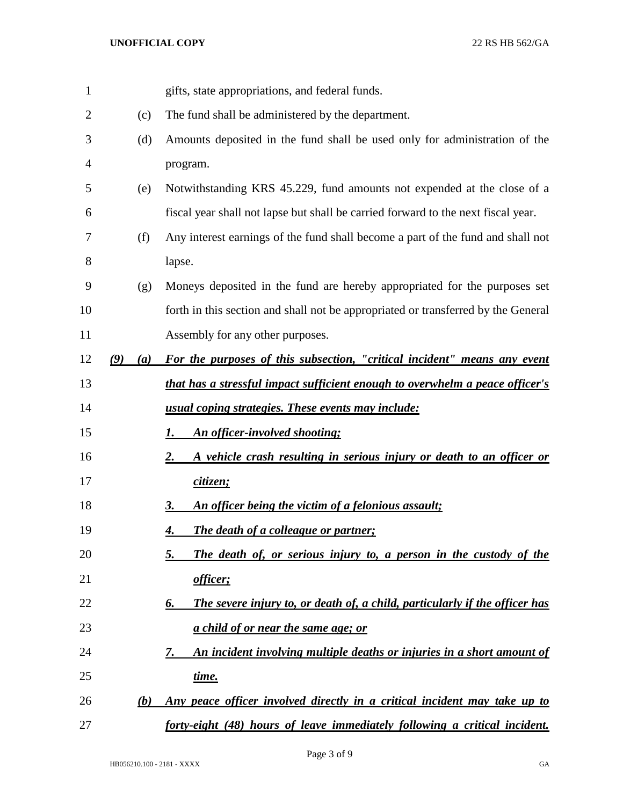| 1  |            | gifts, state appropriations, and federal funds.                                    |
|----|------------|------------------------------------------------------------------------------------|
| 2  | (c)        | The fund shall be administered by the department.                                  |
| 3  | (d)        | Amounts deposited in the fund shall be used only for administration of the         |
| 4  |            | program.                                                                           |
| 5  | (e)        | Notwithstanding KRS 45.229, fund amounts not expended at the close of a            |
| 6  |            | fiscal year shall not lapse but shall be carried forward to the next fiscal year.  |
| 7  | (f)        | Any interest earnings of the fund shall become a part of the fund and shall not    |
| 8  |            | lapse.                                                                             |
| 9  | (g)        | Moneys deposited in the fund are hereby appropriated for the purposes set          |
| 10 |            | forth in this section and shall not be appropriated or transferred by the General  |
| 11 |            | Assembly for any other purposes.                                                   |
| 12 | (9)<br>(a) | For the purposes of this subsection, "critical incident" means any event           |
| 13 |            | that has a stressful impact sufficient enough to overwhelm a peace officer's       |
| 14 |            | usual coping strategies. These events may include:                                 |
| 15 |            | An officer-involved shooting;<br>Ι.                                                |
| 16 |            | A vehicle crash resulting in serious injury or death to an officer or<br><u>2.</u> |
| 17 |            | citizen;                                                                           |
| 18 |            | An officer being the victim of a felonious assault;<br>3.                          |
| 19 |            | The death of a colleague or partner;<br><u>4.</u>                                  |
| 20 |            | The death of, or serious injury to, a person in the custody of the<br>5.           |
| 21 |            | officer;                                                                           |
| 22 |            | The severe injury to, or death of, a child, particularly if the officer has<br>6.  |
| 23 |            | a child of or near the same age; or                                                |
| 24 |            | An incident involving multiple deaths or injuries in a short amount of<br>7.       |
| 25 |            | time.                                                                              |
| 26 | (b)        | Any peace officer involved directly in a critical incident may take up to          |
| 27 |            | forty-eight (48) hours of leave immediately following a critical incident.         |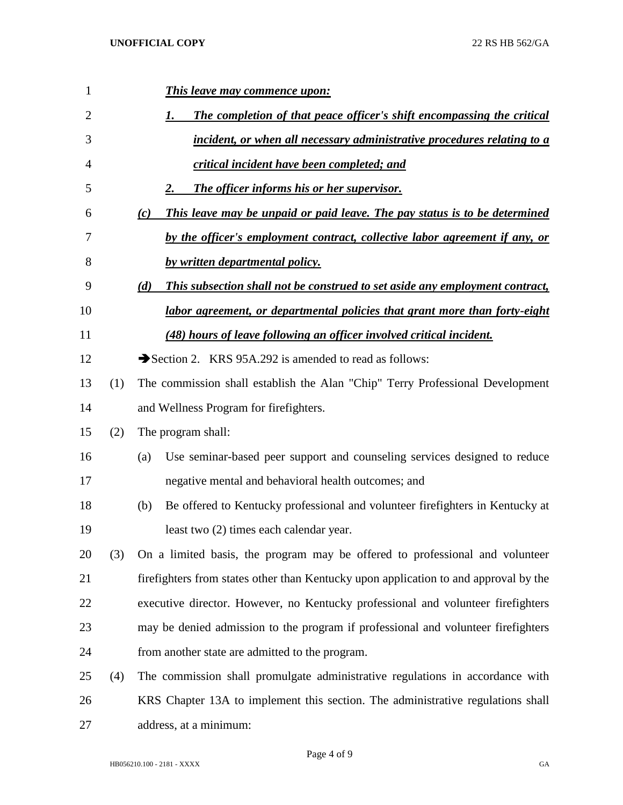| 1              |     | <b>This leave may commence upon:</b>                                                 |
|----------------|-----|--------------------------------------------------------------------------------------|
| 2              |     | The completion of that peace officer's shift encompassing the critical<br>1.         |
| 3              |     | incident, or when all necessary administrative procedures relating to a              |
| $\overline{4}$ |     | critical incident have been completed; and                                           |
| 5              |     | The officer informs his or her supervisor.<br>2.                                     |
| 6              |     | This leave may be unpaid or paid leave. The pay status is to be determined<br>(c)    |
| 7              |     | by the officer's employment contract, collective labor agreement if any, or          |
| 8              |     | by written departmental policy.                                                      |
| 9              |     | This subsection shall not be construed to set aside any employment contract,<br>(d)  |
| 10             |     | labor agreement, or departmental policies that grant more than forty-eight           |
| 11             |     | (48) hours of leave following an officer involved critical incident.                 |
| 12             |     | Section 2. KRS 95A.292 is amended to read as follows:                                |
| 13             | (1) | The commission shall establish the Alan "Chip" Terry Professional Development        |
| 14             |     | and Wellness Program for firefighters.                                               |
| 15             | (2) | The program shall:                                                                   |
| 16             |     | Use seminar-based peer support and counseling services designed to reduce<br>(a)     |
| 17             |     | negative mental and behavioral health outcomes; and                                  |
| 18             |     | Be offered to Kentucky professional and volunteer firefighters in Kentucky at<br>(b) |
| 19             |     | least two (2) times each calendar year.                                              |
| 20             | (3) | On a limited basis, the program may be offered to professional and volunteer         |
| 21             |     | firefighters from states other than Kentucky upon application to and approval by the |
| 22             |     | executive director. However, no Kentucky professional and volunteer firefighters     |
| 23             |     | may be denied admission to the program if professional and volunteer firefighters    |
| 24             |     | from another state are admitted to the program.                                      |
| 25             | (4) | The commission shall promulgate administrative regulations in accordance with        |
| 26             |     | KRS Chapter 13A to implement this section. The administrative regulations shall      |
| 27             |     | address, at a minimum:                                                               |

Page 4 of 9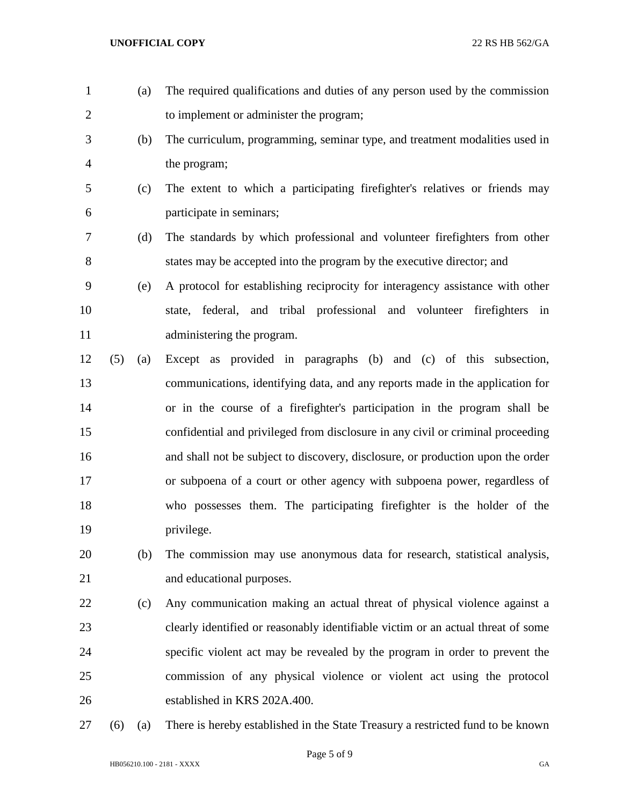to implement or administer the program; (b) The curriculum, programming, seminar type, and treatment modalities used in the program; (c) The extent to which a participating firefighter's relatives or friends may participate in seminars; (d) The standards by which professional and volunteer firefighters from other states may be accepted into the program by the executive director; and (e) A protocol for establishing reciprocity for interagency assistance with other state, federal, and tribal professional and volunteer firefighters in 11 administering the program. (5) (a) Except as provided in paragraphs (b) and (c) of this subsection, communications, identifying data, and any reports made in the application for or in the course of a firefighter's participation in the program shall be confidential and privileged from disclosure in any civil or criminal proceeding and shall not be subject to discovery, disclosure, or production upon the order or subpoena of a court or other agency with subpoena power, regardless of who possesses them. The participating firefighter is the holder of the privilege. (b) The commission may use anonymous data for research, statistical analysis, and educational purposes. (c) Any communication making an actual threat of physical violence against a clearly identified or reasonably identifiable victim or an actual threat of some specific violent act may be revealed by the program in order to prevent the commission of any physical violence or violent act using the protocol established in KRS 202A.400. (6) (a) There is hereby established in the State Treasury a restricted fund to be known

(a) The required qualifications and duties of any person used by the commission

Page 5 of 9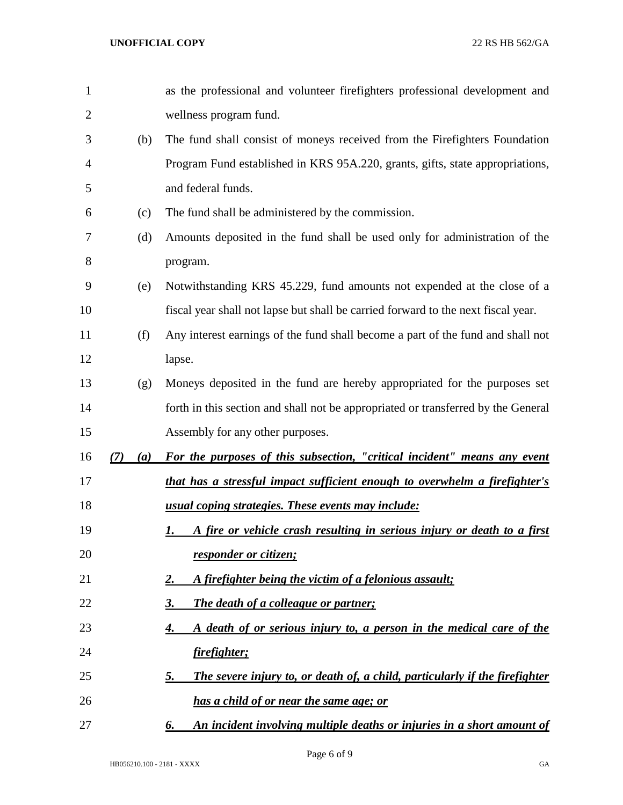| $\mathbf{1}$   |            | as the professional and volunteer firefighters professional development and       |
|----------------|------------|-----------------------------------------------------------------------------------|
| $\overline{2}$ |            | wellness program fund.                                                            |
| 3              | (b)        | The fund shall consist of moneys received from the Firefighters Foundation        |
| 4              |            | Program Fund established in KRS 95A.220, grants, gifts, state appropriations,     |
| 5              |            | and federal funds.                                                                |
| 6              | (c)        | The fund shall be administered by the commission.                                 |
| 7              | (d)        | Amounts deposited in the fund shall be used only for administration of the        |
| 8              |            | program.                                                                          |
| 9              | (e)        | Notwithstanding KRS 45.229, fund amounts not expended at the close of a           |
| 10             |            | fiscal year shall not lapse but shall be carried forward to the next fiscal year. |
| 11             | (f)        | Any interest earnings of the fund shall become a part of the fund and shall not   |
| 12             |            | lapse.                                                                            |
| 13             | (g)        | Moneys deposited in the fund are hereby appropriated for the purposes set         |
| 14             |            | forth in this section and shall not be appropriated or transferred by the General |
| 15             |            | Assembly for any other purposes.                                                  |
| 16             | (a)<br>(7) | For the purposes of this subsection, "critical incident" means any event          |
| 17             |            | that has a stressful impact sufficient enough to overwhelm a firefighter's        |
| 18             |            | usual coping strategies. These events may include:                                |
| 19             |            |                                                                                   |
|                |            | A fire or vehicle crash resulting in serious injury or death to a first<br>I.     |
| 20             |            | responder or citizen;                                                             |
| 21             |            | A firefighter being the victim of a felonious assault;<br>2.                      |
| 22             |            | The death of a colleague or partner;<br>3.                                        |
| 23             |            | A death of or serious injury to, a person in the medical care of the<br>4.        |
| 24             |            | firefighter;                                                                      |
| 25             |            | The severe injury to, or death of, a child, particularly if the firefighter<br>5. |
| 26             |            | <u>has a child of or near the same age; or</u>                                    |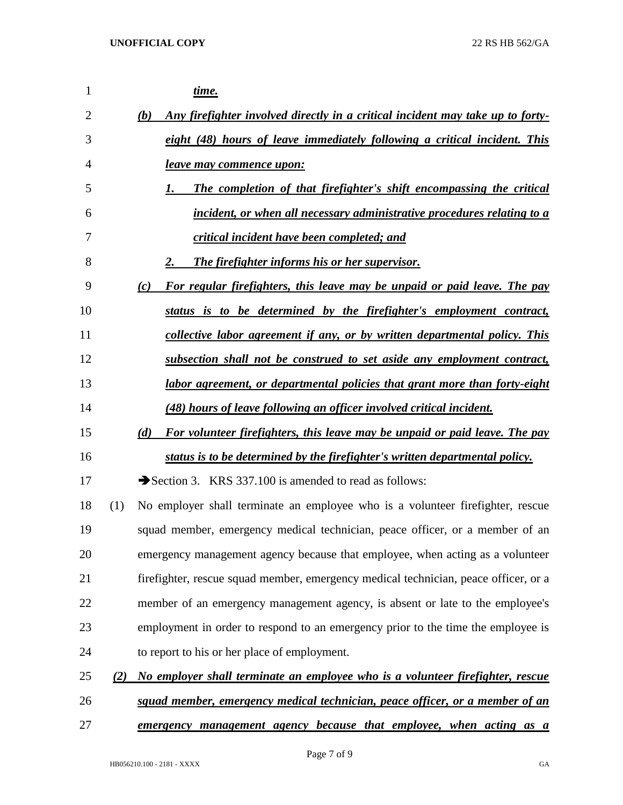*time. (b) Any firefighter involved directly in a critical incident may take up to forty- eight (48) hours of leave immediately following a critical incident. This leave may commence upon: 1. The completion of that firefighter's shift encompassing the critical incident, or when all necessary administrative procedures relating to a critical incident have been completed; and 2. The firefighter informs his or her supervisor. (c) For regular firefighters, this leave may be unpaid or paid leave. The pay status is to be determined by the firefighter's employment contract, collective labor agreement if any, or by written departmental policy. This subsection shall not be construed to set aside any employment contract, labor agreement, or departmental policies that grant more than forty-eight (48) hours of leave following an officer involved critical incident. (d) For volunteer firefighters, this leave may be unpaid or paid leave. The pay status is to be determined by the firefighter's written departmental policy.* 17 Section 3. KRS 337.100 is amended to read as follows: (1) No employer shall terminate an employee who is a volunteer firefighter, rescue squad member, emergency medical technician, peace officer, or a member of an emergency management agency because that employee, when acting as a volunteer firefighter, rescue squad member, emergency medical technician, peace officer, or a member of an emergency management agency, is absent or late to the employee's employment in order to respond to an emergency prior to the time the employee is to report to his or her place of employment. *(2) No employer shall terminate an employee who is a volunteer firefighter, rescue squad member, emergency medical technician, peace officer, or a member of an emergency management agency because that employee, when acting as a*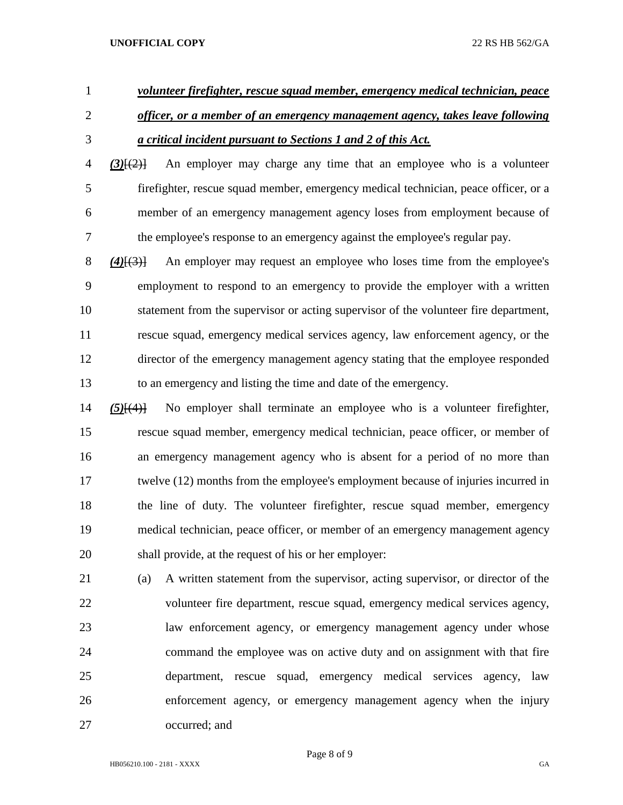- *volunteer firefighter, rescue squad member, emergency medical technician, peace*
- *officer, or a member of an emergency management agency, takes leave following a critical incident pursuant to Sections 1 and 2 of this Act.*
- *(3)*[(2)] An employer may charge any time that an employee who is a volunteer firefighter, rescue squad member, emergency medical technician, peace officer, or a member of an emergency management agency loses from employment because of the employee's response to an emergency against the employee's regular pay.

 *(4)*[(3)] An employer may request an employee who loses time from the employee's employment to respond to an emergency to provide the employer with a written statement from the supervisor or acting supervisor of the volunteer fire department, rescue squad, emergency medical services agency, law enforcement agency, or the director of the emergency management agency stating that the employee responded to an emergency and listing the time and date of the emergency.

- *(5)*[(4)] No employer shall terminate an employee who is a volunteer firefighter, rescue squad member, emergency medical technician, peace officer, or member of an emergency management agency who is absent for a period of no more than twelve (12) months from the employee's employment because of injuries incurred in the line of duty. The volunteer firefighter, rescue squad member, emergency medical technician, peace officer, or member of an emergency management agency shall provide, at the request of his or her employer:
- (a) A written statement from the supervisor, acting supervisor, or director of the volunteer fire department, rescue squad, emergency medical services agency, law enforcement agency, or emergency management agency under whose command the employee was on active duty and on assignment with that fire department, rescue squad, emergency medical services agency, law enforcement agency, or emergency management agency when the injury occurred; and